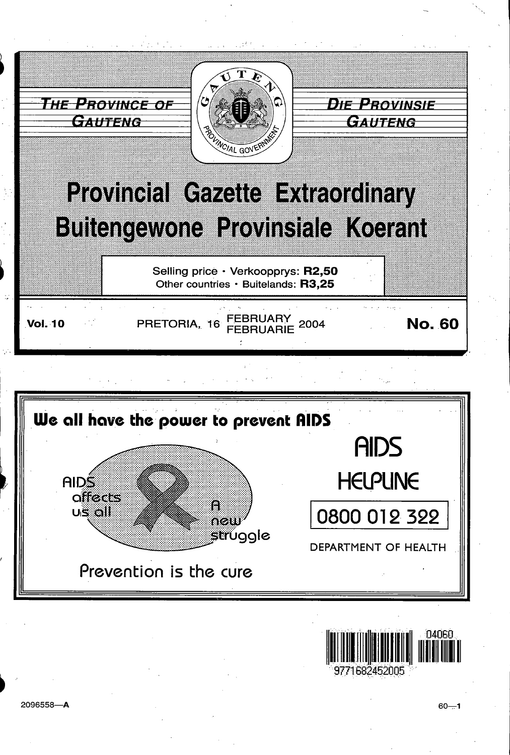



2096558-A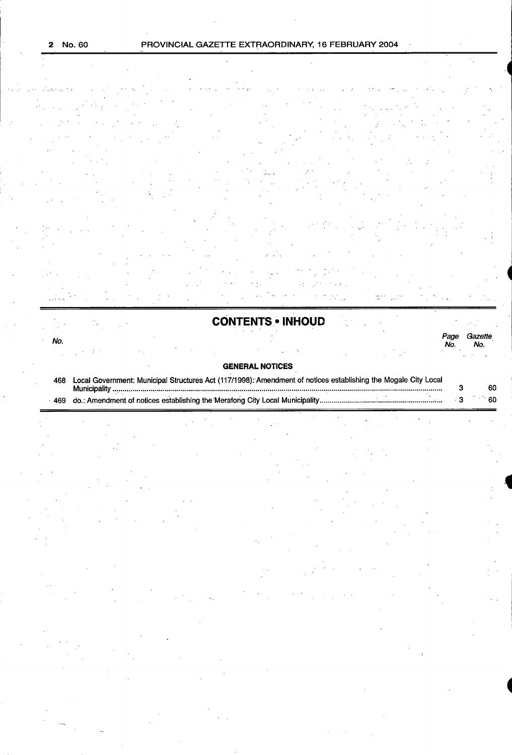|  | No. 60 |  |
|--|--------|--|
|--|--------|--|

## PROVINCIAL GAZETTE EXTRAORDINARY, 16 FEBRUARY 2004

4

 $_{\star}$   $\star$ 

| e dansk politike († 1939)                                                                                                                                                                                                                                                                                                                                                                                                                                                                                                                                                                                                                                                                                                                                                                                                                                                                                                                                                                                                                                                                                                                                                                | $\mathcal{H}_1(\mathcal{F}) = \{ \mathcal{F}_1(\mathcal{F}) \mid \mathcal{F}_2(\mathcal{F}) \in \mathcal{F} \mid \mathcal{F}_2(\mathcal{F}) \in \mathcal{H}_2(\mathcal{F}) \mid \mathcal{F}_2(\mathcal{F}) \in \mathcal{F} \} \subset \{ \mathcal{F}_1(\mathcal{F}) \mid \mathcal{F}_2(\mathcal{F}) \in \mathcal{F} \}$                                                                                                                                     |  |  |
|------------------------------------------------------------------------------------------------------------------------------------------------------------------------------------------------------------------------------------------------------------------------------------------------------------------------------------------------------------------------------------------------------------------------------------------------------------------------------------------------------------------------------------------------------------------------------------------------------------------------------------------------------------------------------------------------------------------------------------------------------------------------------------------------------------------------------------------------------------------------------------------------------------------------------------------------------------------------------------------------------------------------------------------------------------------------------------------------------------------------------------------------------------------------------------------|-------------------------------------------------------------------------------------------------------------------------------------------------------------------------------------------------------------------------------------------------------------------------------------------------------------------------------------------------------------------------------------------------------------------------------------------------------------|--|--|
| $\label{eq:2} \frac{d^2\mathbf{p}}{d\mathbf{p}}\left(\mathbf{p}\right) = \frac{1}{2}\left(\mathbf{p}\right)^2\mathbf{p}\left(\mathbf{p}\right)^2 + \frac{1}{2}\left(\mathbf{p}\right)^2\mathbf{p}\left(\mathbf{p}\right)^2 + \frac{1}{2}\left(\mathbf{p}\right)^2\mathbf{p}\left(\mathbf{p}\right)^2 + \frac{1}{2}\left(\mathbf{p}\right)^2\mathbf{p}\left(\mathbf{p}\right)^2\mathbf{p}\left(\mathbf{p}\right)^2\right) \mathbf{p}\left(\mathbf{p}\right) \mathbf{p}\left(\mathbf{p}\$<br>$\label{eq:2.1} \mathcal{L}(\mathcal{L}^{\mathcal{A}}(\mathcal{L}^{\mathcal{A}}(\mathcal{L}^{\mathcal{A}}(\mathcal{L}^{\mathcal{A}}(\mathcal{L}^{\mathcal{A}}(\mathcal{L}^{\mathcal{A}}(\mathcal{L}^{\mathcal{A}}(\mathcal{L}^{\mathcal{A}}(\mathcal{L}^{\mathcal{A}}(\mathcal{L}^{\mathcal{A}}(\mathcal{L}^{\mathcal{A}}(\mathcal{L}^{\mathcal{A}}(\mathcal{L}^{\mathcal{A}}(\mathcal{L}^{\mathcal{A}}(\mathcal{L}^{\mathcal{A}}(\mathcal{L}^{\mathcal$<br>and the state of the state of the state of the state of the state of the state of the state of the state of the<br>The state of the state of the state of the state of the state of the state of the state of the state of the st |                                                                                                                                                                                                                                                                                                                                                                                                                                                             |  |  |
| $\mathcal{O}(\mathcal{O}(10^6))$ . The second state $\mathcal{O}(\mathcal{O}(10^6))$                                                                                                                                                                                                                                                                                                                                                                                                                                                                                                                                                                                                                                                                                                                                                                                                                                                                                                                                                                                                                                                                                                     | $\mu$ and $\mu$ and $\mu$ are the second contribution of the second contribution $\mu$ .                                                                                                                                                                                                                                                                                                                                                                    |  |  |
|                                                                                                                                                                                                                                                                                                                                                                                                                                                                                                                                                                                                                                                                                                                                                                                                                                                                                                                                                                                                                                                                                                                                                                                          | $\mathcal{L}(\mathcal{L}(\mathcal{L}(\mathcal{L}(\mathcal{L}(\mathcal{L}(\mathcal{L}(\mathcal{L}(\mathcal{L}(\mathcal{L}(\mathcal{L}(\mathcal{L}(\mathcal{L}(\mathcal{L}(\mathcal{L}(\mathcal{L}(\mathcal{L}(\mathcal{L}(\mathcal{L}(\mathcal{L}(\mathcal{L}(\mathcal{L}(\mathcal{L}(\mathcal{L}(\mathcal{L}(\mathcal{L}(\mathcal{L}(\mathcal{L}(\mathcal{L}(\mathcal{L}(\mathcal{L}(\mathcal{L}(\mathcal{L}(\mathcal{L}(\mathcal{L}(\mathcal{L}(\mathcal{$ |  |  |
|                                                                                                                                                                                                                                                                                                                                                                                                                                                                                                                                                                                                                                                                                                                                                                                                                                                                                                                                                                                                                                                                                                                                                                                          | a se provincia de la casa de la provincia de la casa de la casa de la casa de la casa de la casa de la casa de<br>Altre de la casa de la casa de la casa de la casa de la casa de la casa de la casa de la casa de la casa de la<br>a kalendari ya kuma mwaka wa 1990, katika mwaka wa 1990, katika mwaka wa 1990, wakatika mwaka wa 1990, katika<br>Marejeo                                                                                                |  |  |

# CONTENTS • INHOUD

| No. |   |  |                                                                                                                |  | Page<br>No. | Gazette<br>No. |
|-----|---|--|----------------------------------------------------------------------------------------------------------------|--|-------------|----------------|
|     |   |  |                                                                                                                |  |             |                |
|     |   |  | <b>GENERAL NOTICES</b>                                                                                         |  |             |                |
| 468 | . |  | Local Government: Municipal Structures Act (117/1998): Amendment of notices establishing the Mogale City Local |  | n           | co.            |

| a of notices establishing the Merafong City Local Municipe: |  |  |
|-------------------------------------------------------------|--|--|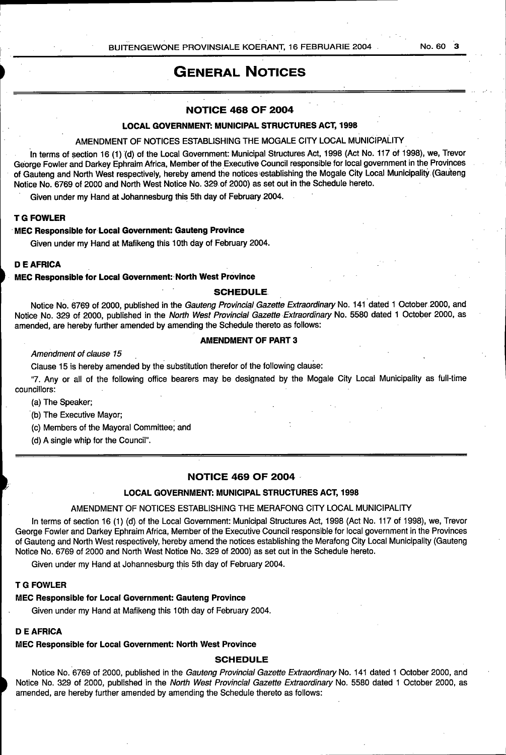## General Notices

#### NOTICE 468 OF 2004

## LOCAL GOVERNMENT: MUNICIPAL STRUCTURES ACT, 1998

### AMENDMENT OF NOTICES ESTABLISHING THE MOGALE CITY LOCAL MUNICIPALITY

In terms of section 16 (1) (d) of the Local Government: Municipal Structures Act, 1998 (Act No. 117 of 1998), we, Trevor George Fowler and Darkey Ephraim Africa, Member of the Executive Council responsible for local government in the Provinces of Gauteng and North West respectively, hereby amend the notices establishing the Mogale City Local Municipality (Gauteng Notice No. 6769 of 2000 and North West Notice No. 329 of 2000) as set out in the Schedule hereto.

Given under my Hand at Johannesburg this 5th day of February 2004.

## T G FOWLER

#### MEC Responsible for Local Government: Gauteng Province

Given under my Hand at Mafikeng this 10th day of February 2004.

#### DE AFRICA

#### MEC Responsible for Local Government: North West Province

#### SCHEDULE

Notice No. 6769 of 2000, published in the Gauteng Provincial Gazette Extraordinary No. 141 dated 1 October 2000, and Notice No. 329 of 2000, published in the North West Provincial Gazette Extraordinary No. 5580 dated 1 October 2000, as amended, are hereby further amended by amending the Schedule thereto as follows:

#### AMENDMENT OF PART 3

Amendment of clause 15

Clause 15 is hereby amended by the substitution therefor of the following clause:

"7. Any or all of the following office bearers may be designated by the Mogale City Local Municipality as full-time councillors:

(a) The Speaker;

(b) The Executive Mayor;

(c) Members of the Mayoral Committee; and

(d) A single whip for the Council".

## NOTICE 469 OF 2004

#### LOCAL GOVERNMENT: MUNICIPAL STRUCTURES ACT, 1998

#### AMENDMENT OF NOTICES ESTABLISHING THE MERAFONG CITY LOCAL MUNICIPALITY

In terms of section 16 (1) (d) of the Local Government: Municipal Structures Act, 1998 (Act No. 117 of 1998), we, Trevor George Fowler and Darkey Ephraim Africa, Member of the Executive Council responsible for local government in the Provinces of Gauteng and North West respectively, hereby amend the notices establishing the Merafong City Local Municipality (Gauteng Notice No. 6769 of 2000 and North West Notice No. 329 of 2000) as set out in the Schedule hereto.

Given under my Hand at Johannesburg this 5th day of February 2004.

#### T G FOWLER

## MEC Responsible for Local Government: Gauteng Province

Given under my Hand at Mafikeng this 10th day of February 2004.

## D E AFRICA

#### MEC Responsible for Local Government: North West Province

### **SCHEDULE**

Notice No. 6769 of 2000, published in the Gauteng Provincial Gazette Extraordinary No. 141 dated 1 October 2000, and Notice No. 329 of 2000, published in the North West Provincial Gazette Extraordinary No. 5580 dated 1 October 2000, as amended, are hereby further amended by amending the Schedule thereto as follows: